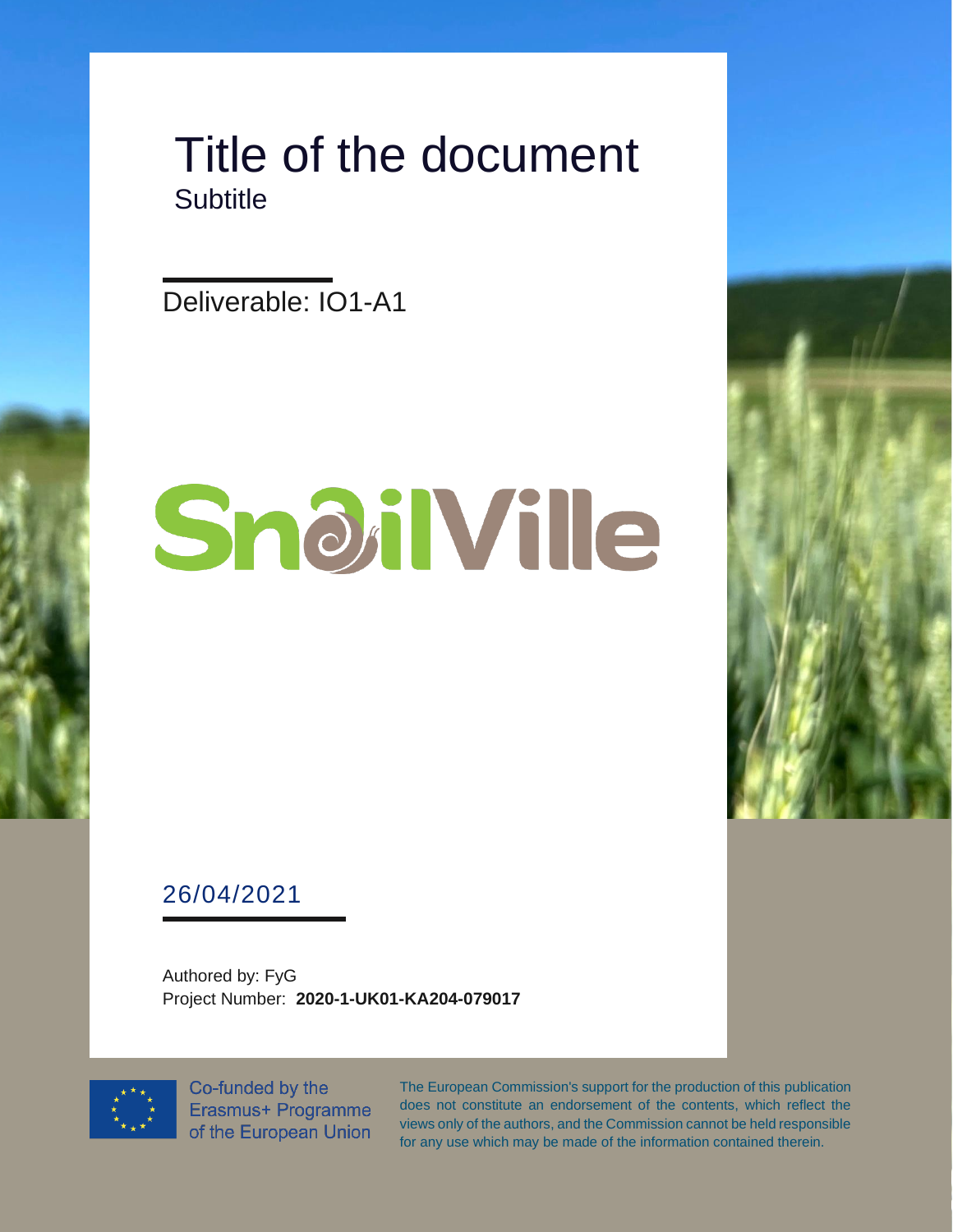#### Title of the document **Subtitle**

Deliverable: IO1-A1

# SnoilVille

26/04/2021

Authored by: FyG Project Number: **2020-1-UK01-KA204-079017**



Co-funded by the Erasmus+ Programme of the European Union

The European Commission's support for the production of this publication does not constitute an endorsement of the contents, which reflect the views only of the authors, and the Commission cannot be held responsible for any use which may be made of the information contained therein.

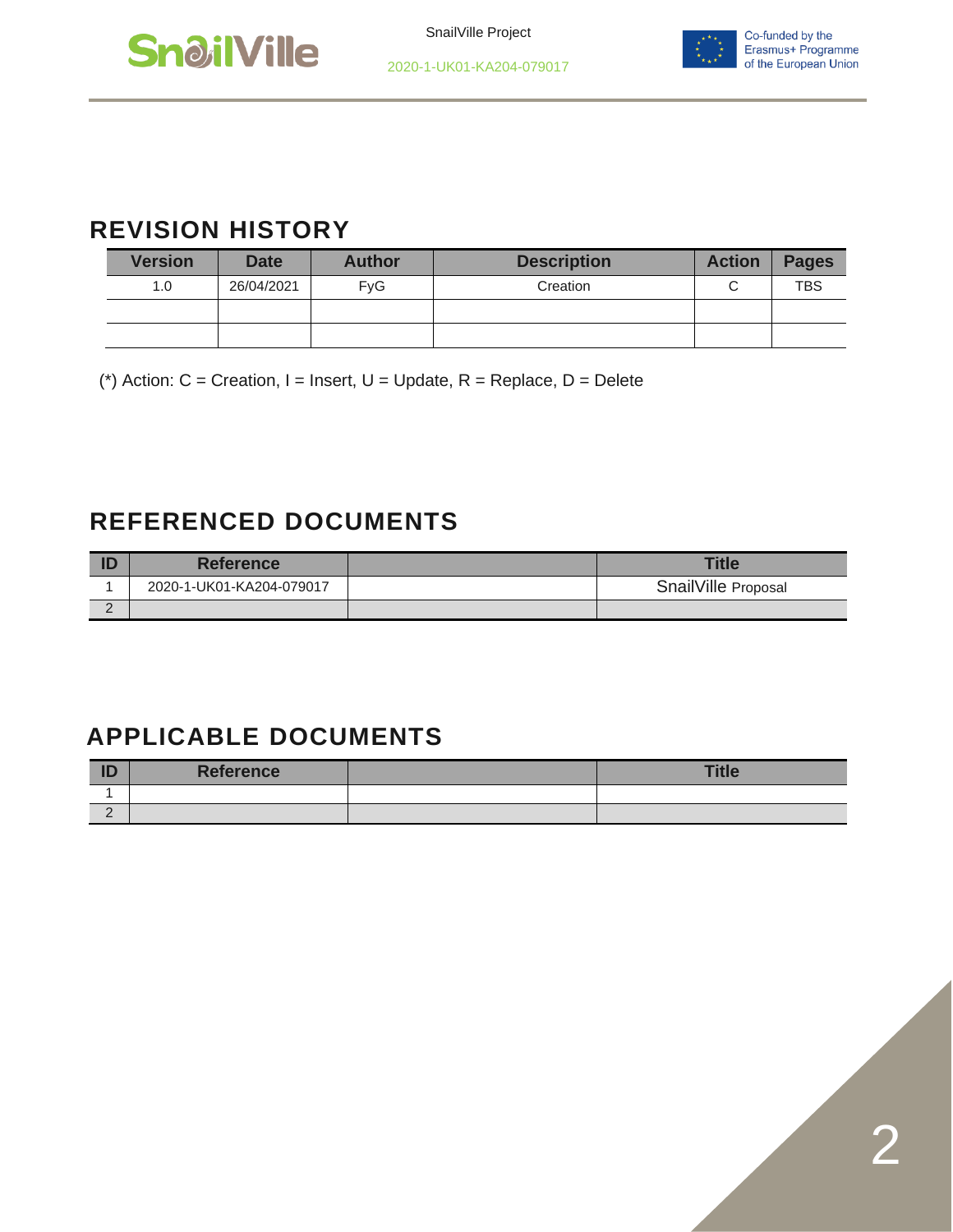



#### **REVISION HISTORY**

| <b>Version</b> | <b>Date</b> | <b>Author</b> | <b>Description</b> | <b>Action</b> | <b>Pages</b> |
|----------------|-------------|---------------|--------------------|---------------|--------------|
| 1.0            | 26/04/2021  | <b>FvG</b>    | Creation           |               | <b>TBS</b>   |
|                |             |               |                    |               |              |
|                |             |               |                    |               |              |

(\*) Action:  $C =$  Creation, I = Insert, U = Update, R = Replace, D = Delete

#### **REFERENCED DOCUMENTS**

|   | <b>Reference</b>         | <b>Title</b>        |
|---|--------------------------|---------------------|
|   | 2020-1-UK01-KA204-079017 | SnailVille Proposal |
| - |                          |                     |

#### **APPLICABLE DOCUMENTS**

| ID       | <b>Reference</b> | <b>Title</b> |
|----------|------------------|--------------|
|          |                  |              |
| <u>_</u> |                  |              |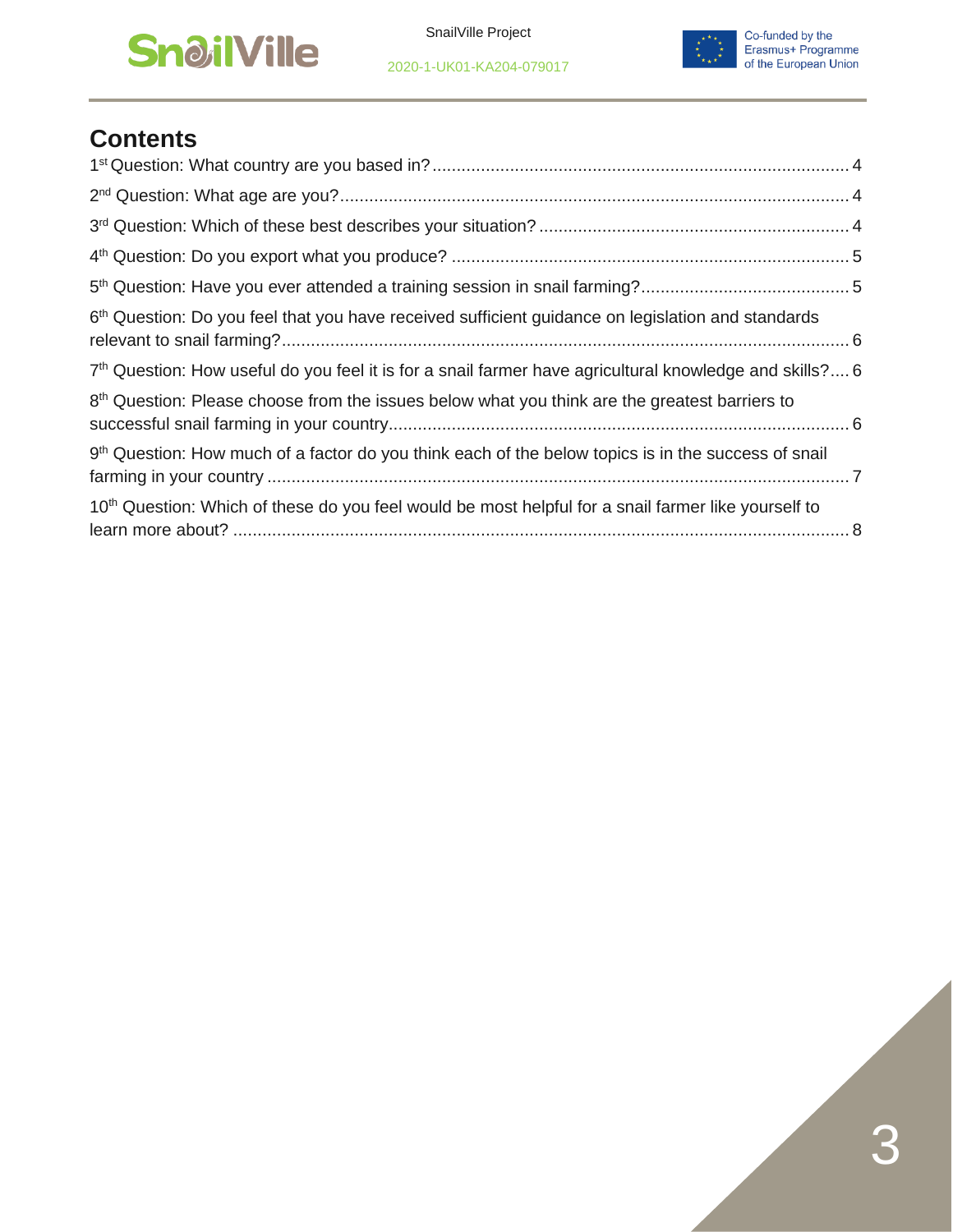#### **SnailVille**

2020-1-UK01-KA204-079017



#### **Contents**

| 6 <sup>th</sup> Question: Do you feel that you have received sufficient guidance on legislation and standards       |  |
|---------------------------------------------------------------------------------------------------------------------|--|
| 7 <sup>th</sup> Question: How useful do you feel it is for a snail farmer have agricultural knowledge and skills? 6 |  |
| $8th$ Question: Please choose from the issues below what you think are the greatest barriers to                     |  |
| 9 <sup>th</sup> Question: How much of a factor do you think each of the below topics is in the success of snail     |  |
| 10 <sup>th</sup> Question: Which of these do you feel would be most helpful for a snail farmer like yourself to     |  |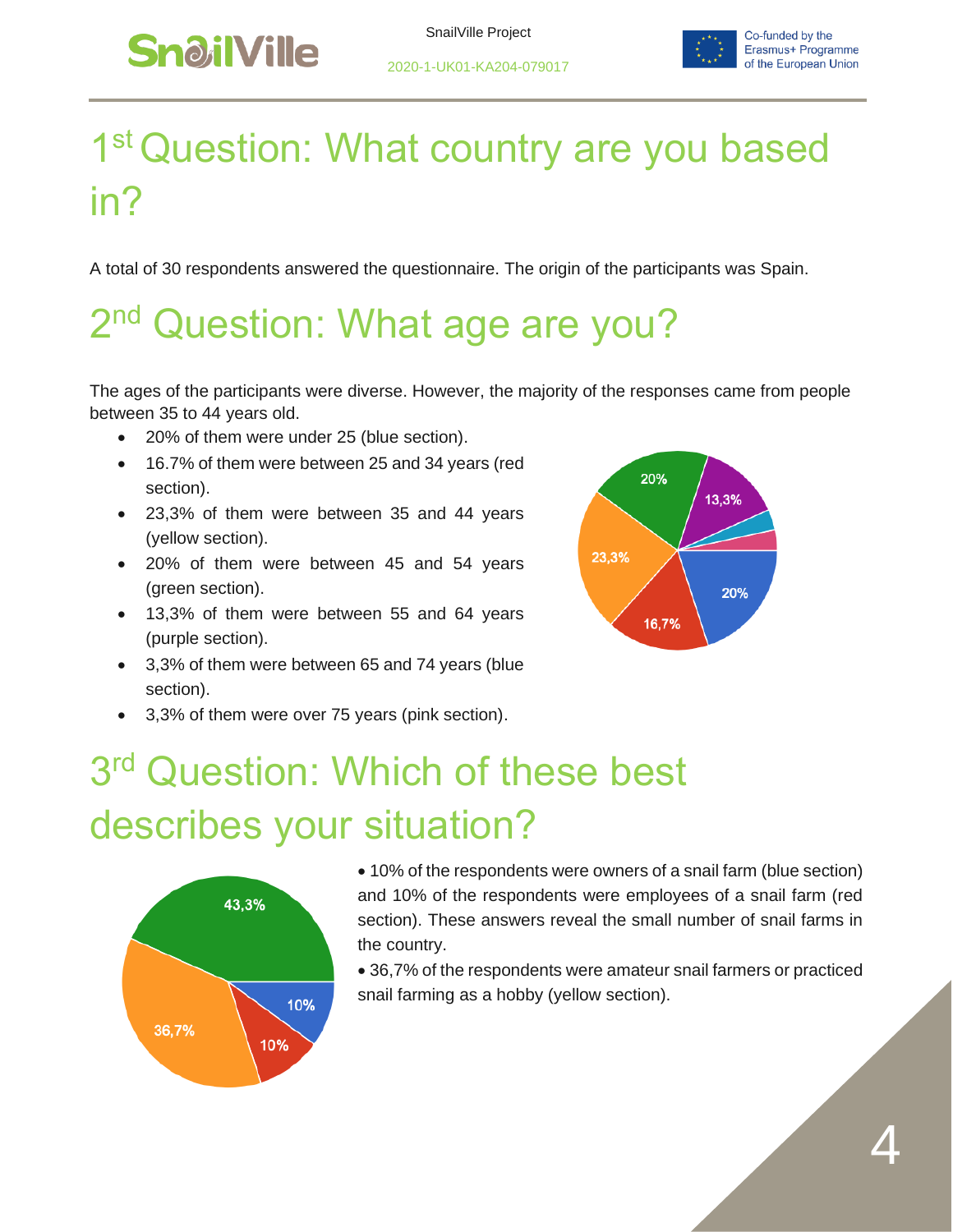

## <span id="page-3-0"></span>1<sup>st</sup> Question: What country are you based in?

A total of 30 respondents answered the questionnaire. The origin of the participants was Spain.

# <span id="page-3-1"></span>2<sup>nd</sup> Question: What age are you?

The ages of the participants were diverse. However, the majority of the responses came from people between 35 to 44 years old.

- 20% of them were under 25 (blue section).
- 16.7% of them were between 25 and 34 years (red section).
- 23,3% of them were between 35 and 44 years (yellow section).
- 20% of them were between 45 and 54 years (green section).
- 13,3% of them were between 55 and 64 years (purple section).
- 3,3% of them were between 65 and 74 years (blue section).
- 3,3% of them were over 75 years (pink section).



# <span id="page-3-2"></span>3<sup>rd</sup> Question: Which of these best describes your situation?



• 10% of the respondents were owners of a snail farm (blue section) and 10% of the respondents were employees of a snail farm (red section). These answers reveal the small number of snail farms in the country.

• 36,7% of the respondents were amateur snail farmers or practiced snail farming as a hobby (yellow section).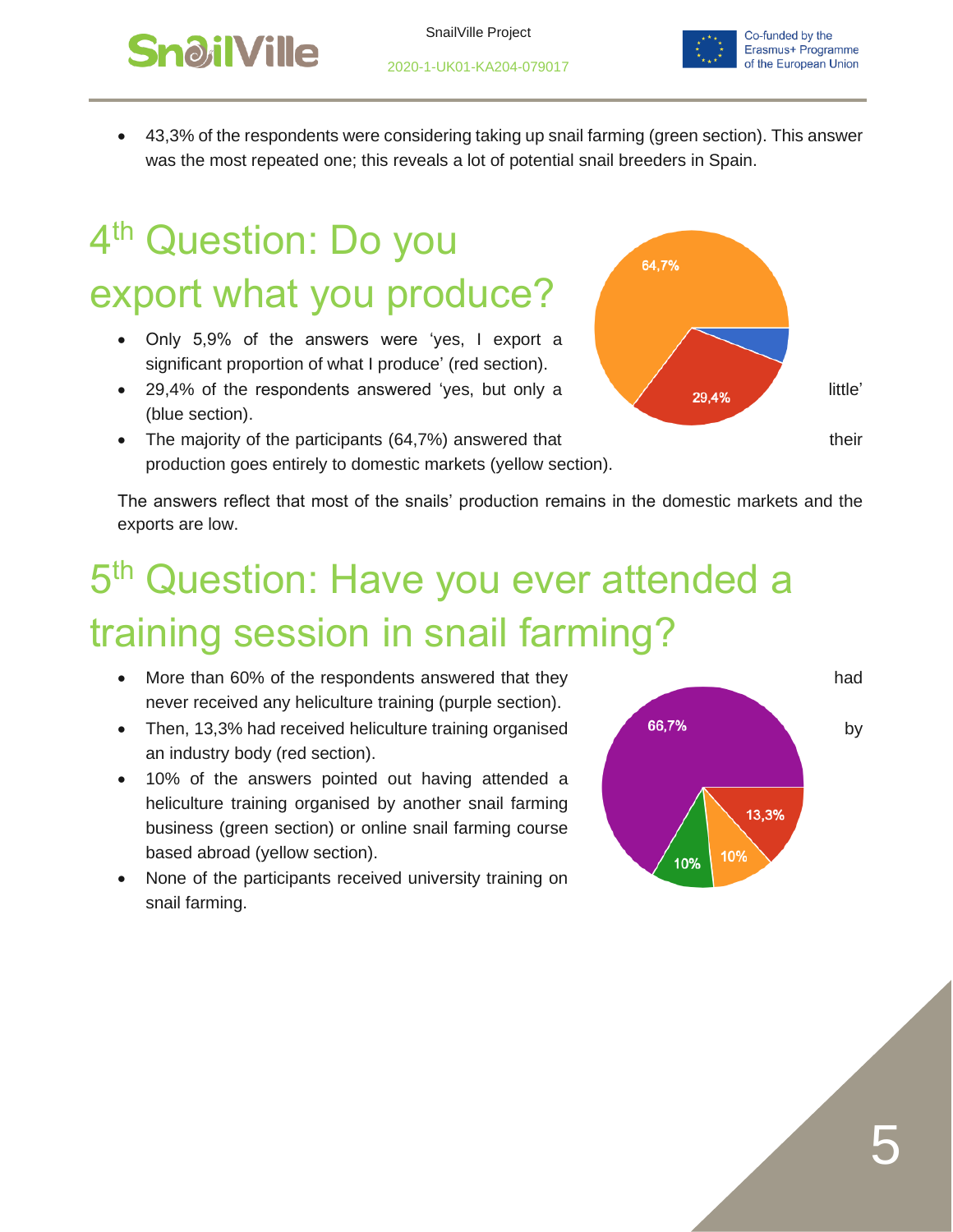

• 43,3% of the respondents were considering taking up snail farming (green section). This answer was the most repeated one; this reveals a lot of potential snail breeders in Spain.

#### <span id="page-4-0"></span>4<sup>th</sup> Question: Do you export what you produce?

- Only 5,9% of the answers were 'yes, I export a significant proportion of what I produce' (red section).
- 29,4% of the respondents answered 'yes, but only a  $\sqrt{29.4\%}$  little' (blue section).
- The majority of the participants (64,7%) answered that their their production goes entirely to domestic markets (yellow section).



The answers reflect that most of the snails' production remains in the domestic markets and the exports are low.

## <span id="page-4-1"></span>5<sup>th</sup> Question: Have you ever attended a training session in snail farming?

- More than 60% of the respondents answered that they had never received any heliculture training (purple section).
- Then, 13,3% had received heliculture training organised 66,7% an industry body (red section).
- 10% of the answers pointed out having attended a heliculture training organised by another snail farming business (green section) or online snail farming course based abroad (yellow section).
- None of the participants received university training on snail farming.

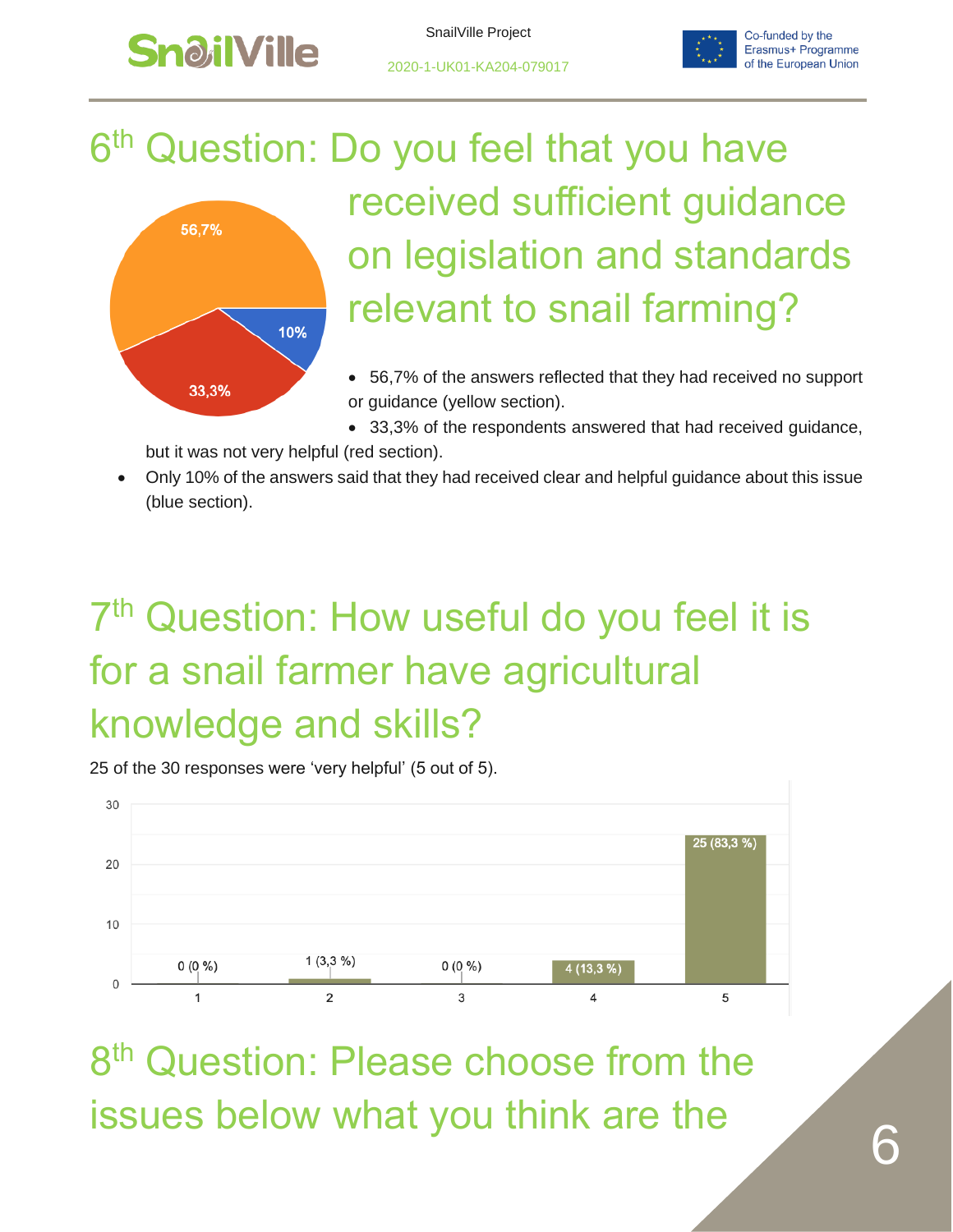

33,3%

SnailVille Project



#### <span id="page-5-0"></span>6<sup>th</sup> Question: Do you feel that you have received sufficient guidance 56,7% on legislation and standards relevant to snail farming? 10%

- 56,7% of the answers reflected that they had received no support or guidance (yellow section).
- 33,3% of the respondents answered that had received guidance,

but it was not very helpful (red section).

• Only 10% of the answers said that they had received clear and helpful guidance about this issue (blue section).

# <span id="page-5-1"></span>7<sup>th</sup> Question: How useful do you feel it is for a snail farmer have agricultural knowledge and skills?

25 of the 30 responses were 'very helpful' (5 out of 5).



<span id="page-5-2"></span>8<sup>th</sup> Question: Please choose from the issues below what you think are the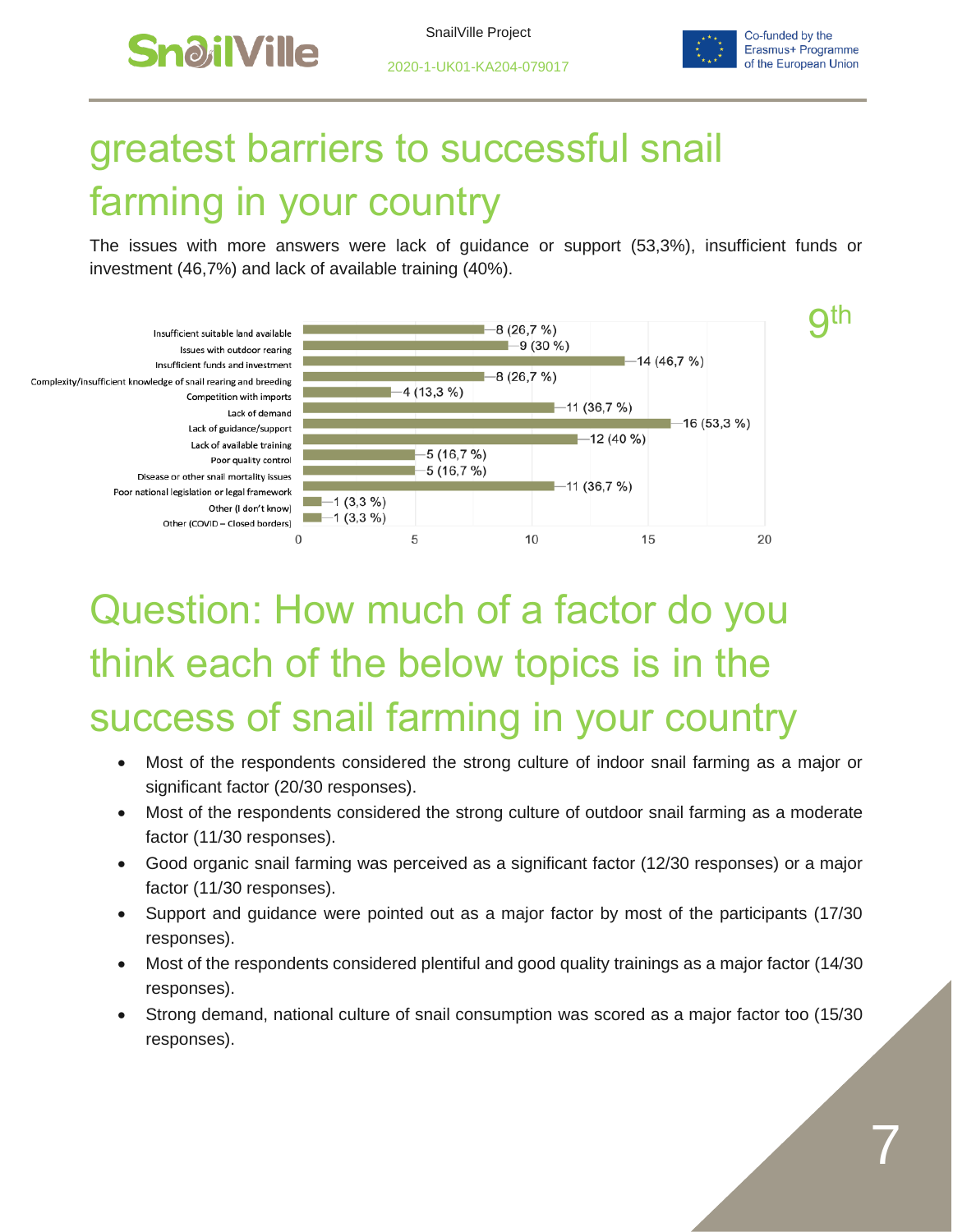

2020-1-UK01-KA204-079017

<span id="page-6-0"></span>

## greatest barriers to successful snail farming in your country

The issues with more answers were lack of guidance or support (53,3%), insufficient funds or investment (46,7%) and lack of available training (40%).



## Question: How much of a factor do you think each of the below topics is in the success of snail farming in your country

- Most of the respondents considered the strong culture of indoor snail farming as a major or significant factor (20/30 responses).
- Most of the respondents considered the strong culture of outdoor snail farming as a moderate factor (11/30 responses).
- Good organic snail farming was perceived as a significant factor (12/30 responses) or a major factor (11/30 responses).
- Support and guidance were pointed out as a major factor by most of the participants (17/30 responses).
- Most of the respondents considered plentiful and good quality trainings as a major factor (14/30 responses).
- Strong demand, national culture of snail consumption was scored as a major factor too (15/30 responses).